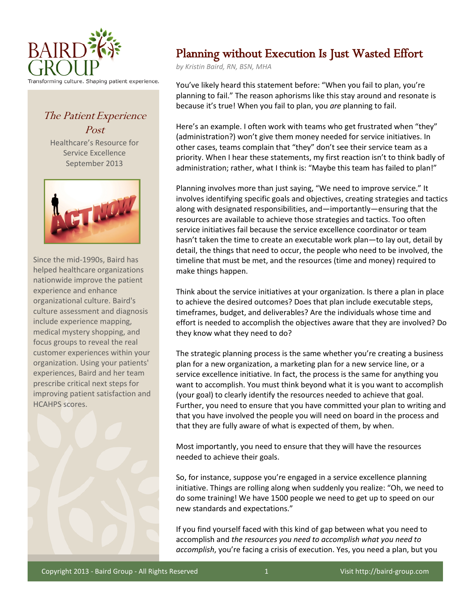

The Patient Experience Post

Healthcare's Resource for Service Excellence September 2013



Since the mid-1990s, Baird has helped healthcare organizations nationwide improve the patient experience and enhance organizational culture. Baird's culture assessment and diagnosis include experience mapping, medical mystery shopping, and focus groups to reveal the real customer experiences within your organization. Using your patients' experiences, Baird and her team prescribe critical next steps for improving patient satisfaction and HCAHPS scores.



## Planning without Execution Is Just Wasted Effort

*by Kristin Baird, RN, BSN, MHA*

You've likely heard this statement before: "When you fail to plan, you're planning to fail." The reason aphorisms like this stay around and resonate is because it's true! When you fail to plan, you *are* planning to fail.

Here's an example. I often work with teams who get frustrated when "they" (administration?) won't give them money needed for service initiatives. In other cases, teams complain that "they" don't see their service team as a priority. When I hear these statements, my first reaction isn't to think badly of administration; rather, what I think is: "Maybe this team has failed to plan!"

Planning involves more than just saying, "We need to improve service." It involves identifying specific goals and objectives, creating strategies and tactics along with designated responsibilities, and—importantly—ensuring that the resources are available to achieve those strategies and tactics. Too often service initiatives fail because the service excellence coordinator or team hasn't taken the time to create an executable work plan—to lay out, detail by detail, the things that need to occur, the people who need to be involved, the timeline that must be met, and the resources (time and money) required to make things happen.

Think about the service initiatives at your organization. Is there a plan in place to achieve the desired outcomes? Does that plan include executable steps, timeframes, budget, and deliverables? Are the individuals whose time and effort is needed to accomplish the objectives aware that they are involved? Do they know what they need to do?

The strategic planning process is the same whether you're creating a business plan for a new organization, a marketing plan for a new service line, or a service excellence initiative. In fact, the process is the same for anything you want to accomplish. You must think beyond what it is you want to accomplish (your goal) to clearly identify the resources needed to achieve that goal. Further, you need to ensure that you have committed your plan to writing and that you have involved the people you will need on board in the process and that they are fully aware of what is expected of them, by when.

Most importantly, you need to ensure that they will have the resources needed to achieve their goals.

So, for instance, suppose you're engaged in a service excellence planning initiative. Things are rolling along when suddenly you realize: "Oh, we need to do some training! We have 1500 people we need to get up to speed on our new standards and expectations."

If you find yourself faced with this kind of gap between what you need to accomplish and *the resources you need to accomplish what you need to accomplish*, you're facing a crisis of execution. Yes, you need a plan, but you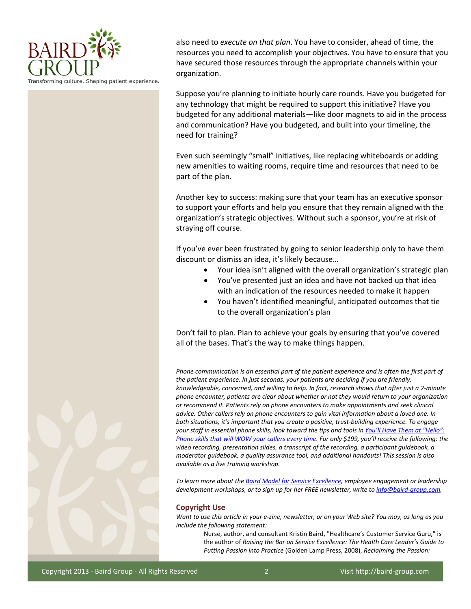

also need to *execute on that plan*. You have to consider, ahead of time, the resources you need to accomplish your objectives. You have to ensure that you have secured those resources through the appropriate channels within your organization.

Suppose you're planning to initiate hourly care rounds. Have you budgeted for any technology that might be required to support this initiative? Have you budgeted for any additional materials—like door magnets to aid in the process and communication? Have you budgeted, and built into your timeline, the need for training?

Even such seemingly "small" initiatives, like replacing whiteboards or adding new amenities to waiting rooms, require time and resources that need to be part of the plan.

Another key to success: making sure that your team has an executive sponsor to support your efforts and help you ensure that they remain aligned with the organization's strategic objectives. Without such a sponsor, you're at risk of straying off course.

If you've ever been frustrated by going to senior leadership only to have them discount or dismiss an idea, it's likely because…

- Your idea isn't aligned with the overall organization's strategic plan
- You've presented just an idea and have not backed up that idea with an indication of the resources needed to make it happen
- You haven't identified meaningful, anticipated outcomes that tie to the overall organization's plan

Don't fail to plan. Plan to achieve your goals by ensuring that you've covered all of the bases. That's the way to make things happen.

*Phone communication is an essential part of the patient experience and is often the first part of the patient experience. In just seconds, your patients are deciding if you are friendly, knowledgeable, concerned, and willing to help. In fact, research shows that after just a 2-minute phone encounter, patients are clear about whether or not they would return to your organization or recommend it. Patients rely on phone encounters to make appointments and seek clinical advice. Other callers rely on phone encounters to gain vital information about a loved one. In both situations, it's important that you create a positive, trust-building experience. To engage your staff in essential phone skills, look toward the tips and tools in [You'll Have Them at "Hello":](https://bairdgroup.infusionsoft.com/app/storeFront/showProductDetail?productId=102)  [Phone skills that will WOW your](https://bairdgroup.infusionsoft.com/app/storeFront/showProductDetail?productId=102) callers every time. For only \$199, you'll receive the following: the video recording, presentation slides, a transcript of the recording, a participant guidebook, a moderator guidebook, a quality assurance tool, and additional handouts! This session is also available as a live training workshop.*

*To learn more about th[e Baird Model for Service Excellence,](http://baird-group.com/customer-service-consulting) employee engagement or leadership development workshops, or to sign up for her FREE newsletter, write t[o info@baird-group.com.](mailto:info@baird-group.com)*

## **Copyright Use**

*Want to use this article in your e-zine, newsletter, or on your Web site? You may, as long as you include the following statement:* 

> Nurse, author, and consultant Kristin Baird, "Healthcare's Customer Service Guru," is the author of *Raising the Bar on Service Excellence: The Health Care Leader's Guide to Putting Passion into Practice* (Golden Lamp Press, 2008), *Reclaiming the Passion:*